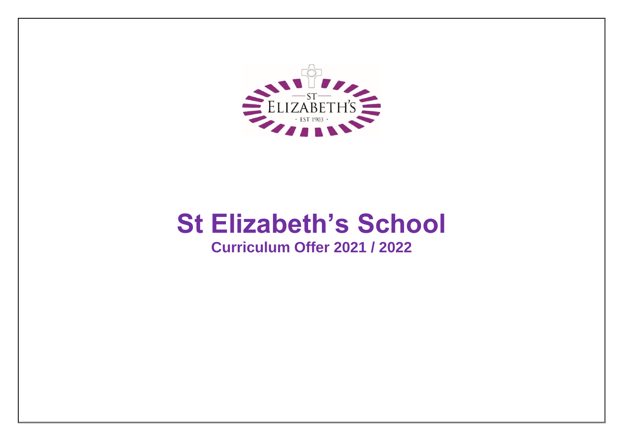

# **St Elizabeth's School**

# **Curriculum Offer 2021 / 2022**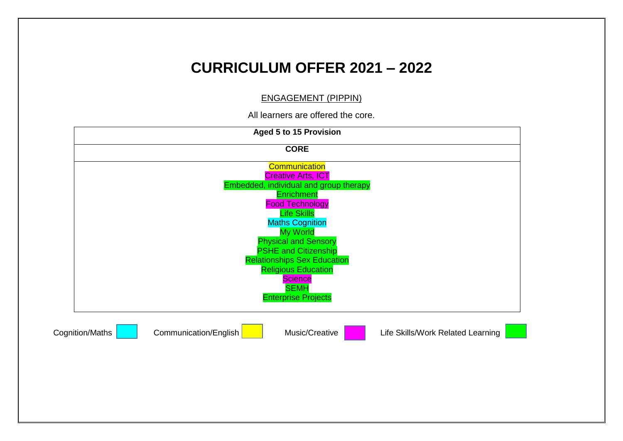#### ENGAGEMENT (PIPPIN)

All learners are offered the core.

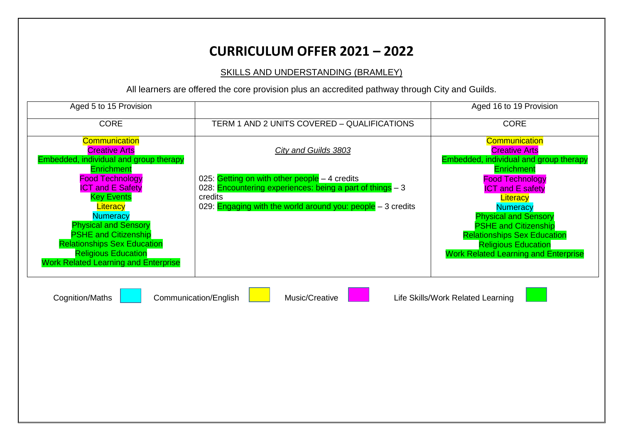SKILLS AND UNDERSTANDING (BRAMLEY)

| Aged 5 to 15 Provision                                                                                                                                                                                                                                                                               |                                                                                                                                                                                       | Aged 16 to 19 Provision                                                                                                                                                                                                                                                                |
|------------------------------------------------------------------------------------------------------------------------------------------------------------------------------------------------------------------------------------------------------------------------------------------------------|---------------------------------------------------------------------------------------------------------------------------------------------------------------------------------------|----------------------------------------------------------------------------------------------------------------------------------------------------------------------------------------------------------------------------------------------------------------------------------------|
| <b>CORE</b>                                                                                                                                                                                                                                                                                          | TERM 1 AND 2 UNITS COVERED - QUALIFICATIONS                                                                                                                                           | <b>CORE</b>                                                                                                                                                                                                                                                                            |
| <b>Communication</b><br><b>Creative Arts</b><br>Embedded, individual and group therapy                                                                                                                                                                                                               | <b>City and Guilds 3803</b>                                                                                                                                                           | Communication<br><b>Creative Arts</b><br>Embedded, individual and group therapy                                                                                                                                                                                                        |
| Enrichment<br><b>Food Technology</b><br><b>ICT and E Safety</b><br><b>Key Events</b><br>Literacy<br><b>Numeracy</b><br><b>Physical and Sensory</b><br><b>PSHE and Citizenship</b><br><b>Relationships Sex Education</b><br><b>Religious Education</b><br><b>Work Related Learning and Enterprise</b> | 025: Getting on with other people $-4$ credits<br>028: Encountering experiences: being a part of things - 3<br>credits<br>029: Engaging with the world around you: people - 3 credits | <b>Enrichment</b><br><b>Food Technology</b><br><b>ICT and E safety</b><br>Literacy<br><b>Numeracy</b><br><b>Physical and Sensory</b><br><b>PSHE and Citizenship</b><br><b>Relationships Sex Education</b><br><b>Religious Education</b><br><b>Work Related Learning and Enterprise</b> |
| <b>Cognition/Maths</b>                                                                                                                                                                                                                                                                               | Communication/English<br>Music/Creative                                                                                                                                               | Life Skills/Work Related Learning                                                                                                                                                                                                                                                      |
|                                                                                                                                                                                                                                                                                                      |                                                                                                                                                                                       |                                                                                                                                                                                                                                                                                        |
|                                                                                                                                                                                                                                                                                                      |                                                                                                                                                                                       |                                                                                                                                                                                                                                                                                        |
|                                                                                                                                                                                                                                                                                                      |                                                                                                                                                                                       |                                                                                                                                                                                                                                                                                        |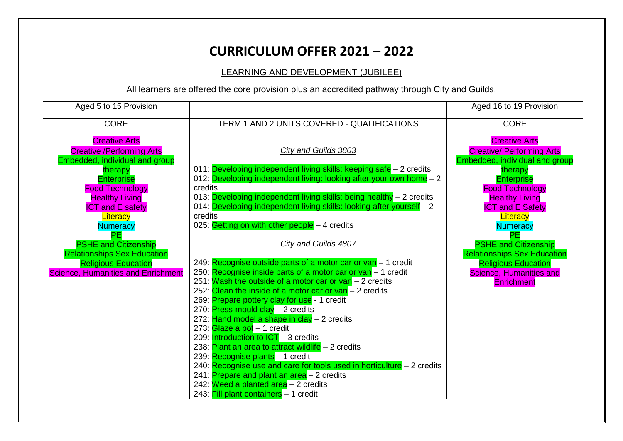LEARNING AND DEVELOPMENT (JUBILEE)

| Aged 5 to 15 Provision                    |                                                                                    | Aged 16 to 19 Provision            |
|-------------------------------------------|------------------------------------------------------------------------------------|------------------------------------|
| <b>CORE</b>                               | TERM 1 AND 2 UNITS COVERED - QUALIFICATIONS                                        | <b>CORE</b>                        |
| <b>Creative Arts</b>                      |                                                                                    | <b>Creative Arts</b>               |
| <b>Creative / Performing Arts</b>         | <b>City and Guilds 3803</b>                                                        | <b>Creative/ Performing Arts</b>   |
| <b>Embedded, individual and group</b>     |                                                                                    | Embedded, individual and group     |
| therapy                                   | 011: Developing independent living skills: keeping safe - 2 credits                | therapy                            |
| <b>Enterprise</b>                         | 012: Developing independent living: looking after your own home - 2                | <b>Enterprise</b>                  |
| <b>Food Technology</b>                    | credits                                                                            | <b>Food Technology</b>             |
| <b>Healthy Living</b>                     | 013: Developing independent living skills: being healthy - 2 credits               | <b>Healthy Living</b>              |
| <b>ICT and E safety</b>                   | 014: Developing independent living skills: looking after yourself - 2              | <b>ICT and E Safety</b>            |
| Literacy                                  | credits                                                                            | Literacy                           |
| <b>Numeracy</b>                           | 025: Getting on with other people $-4$ credits                                     | <b>Numeracy</b>                    |
| <b>PE</b>                                 |                                                                                    | PE.                                |
| <b>PSHE and Citizenship</b>               | <b>City and Guilds 4807</b>                                                        | <b>PSHE and Citizenship</b>        |
| <b>Relationships Sex Education</b>        |                                                                                    | <b>Relationships Sex Education</b> |
| <b>Religious Education</b>                | 249: Recognise outside parts of a motor car or van - 1 credit                      | <b>Religious Education</b>         |
| <b>Science, Humanities and Enrichment</b> | 250: Recognise inside parts of a motor car or van - 1 credit                       | <b>Science, Humanities and</b>     |
|                                           | 251: Wash the outside of a motor car or van - 2 credits                            | <b>Enrichment</b>                  |
|                                           | 252: Clean the inside of a motor car or $van - 2$ credits                          |                                    |
|                                           | 269: Prepare pottery clay for use - 1 credit<br>270: Press-mould clay $-2$ credits |                                    |
|                                           | 272: Hand model a shape in clay - 2 credits                                        |                                    |
|                                           | 273: Glaze a pot - 1 credit                                                        |                                    |
|                                           | 209: Introduction to $\text{ICT} - 3$ credits                                      |                                    |
|                                           | 238: Plant an area to attract wildlife - 2 credits                                 |                                    |
|                                           | 239: Recognise plants - 1 credit                                                   |                                    |
|                                           | 240: Recognise use and care for tools used in horticulture $-2$ credits            |                                    |
|                                           | 241: Prepare and plant an area - 2 credits                                         |                                    |
|                                           | 242: Weed a planted area - 2 credits                                               |                                    |
|                                           | 243: Fill plant containers - 1 credit                                              |                                    |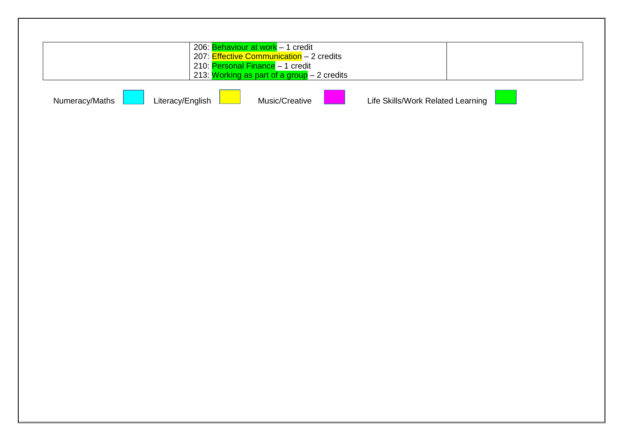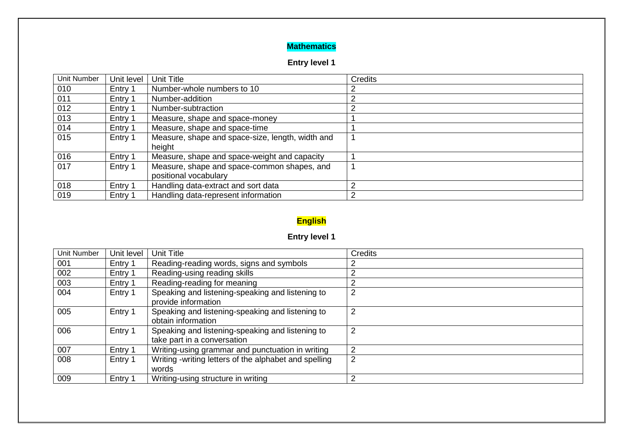#### **Mathematics**

## **Entry level 1**

| <b>Unit Number</b> | Unit level | Unit Title                                                           | Credits |
|--------------------|------------|----------------------------------------------------------------------|---------|
| 010                | Entry 1    | Number-whole numbers to 10                                           |         |
| 011                | Entry 1    | Number-addition                                                      |         |
| 012                | Entry 1    | Number-subtraction                                                   |         |
| 013                | Entry 1    | Measure, shape and space-money                                       |         |
| 014                | Entry 1    | Measure, shape and space-time                                        |         |
| 015                | Entry 1    | Measure, shape and space-size, length, width and<br>height           |         |
| 016                | Entry 1    | Measure, shape and space-weight and capacity                         |         |
| 017                | Entry 1    | Measure, shape and space-common shapes, and<br>positional vocabulary |         |
| 018                | Entry 1    | Handling data-extract and sort data                                  | 2       |
| 019                | Entry 1    | Handling data-represent information                                  | 2       |

# **English**

## **Entry level 1**

| <b>Unit Number</b> | Unit level | <b>Unit Title</b>                                                               | Credits |
|--------------------|------------|---------------------------------------------------------------------------------|---------|
| 001                | Entry 1    | Reading-reading words, signs and symbols                                        |         |
| 002                | Entry 1    | Reading-using reading skills                                                    |         |
| 003                | Entry 1    | Reading-reading for meaning                                                     |         |
| 004                | Entry 1    | Speaking and listening-speaking and listening to<br>provide information         | っ       |
| 005                | Entry 1    | Speaking and listening-speaking and listening to<br>obtain information          | 2       |
| 006                | Entry 1    | Speaking and listening-speaking and listening to<br>take part in a conversation | 2       |
| 007                | Entry 1    | Writing-using grammar and punctuation in writing                                | っ       |
| 008                | Entry 1    | Writing -writing letters of the alphabet and spelling<br>words                  | 2       |
| 009                | Entry 1    | Writing-using structure in writing                                              | ◠       |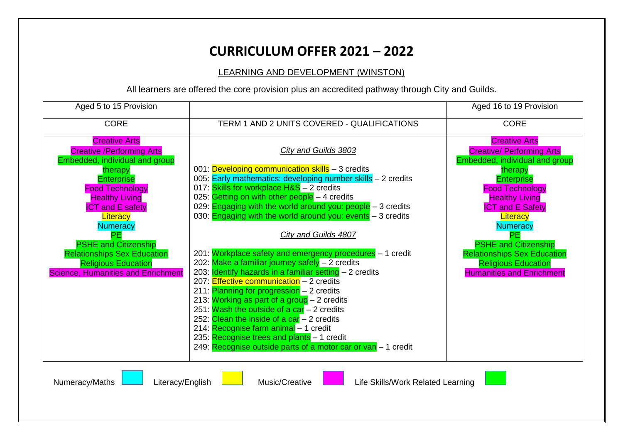#### LEARNING AND DEVELOPMENT (WINSTON)

| Aged 5 to 15 Provision                    |                                                                     | Aged 16 to 19 Provision            |
|-------------------------------------------|---------------------------------------------------------------------|------------------------------------|
| <b>CORE</b>                               | TERM 1 AND 2 UNITS COVERED - QUALIFICATIONS                         | <b>CORE</b>                        |
| <b>Creative Arts</b>                      |                                                                     | <b>Creative Arts</b>               |
| <b>Creative /Performing Arts</b>          | <b>City and Guilds 3803</b>                                         | <b>Creative/ Performing Arts</b>   |
| Embedded, individual and group            |                                                                     | Embedded, individual and group     |
| therapy                                   | 001: Developing communication skills - 3 credits                    | therapy                            |
| <b>Enterprise</b>                         | 005: Early mathematics: developing number skills - 2 credits        | <b>Enterprise</b>                  |
| <b>Food Technology</b>                    | 017: Skills for workplace H&S - 2 credits                           | <b>Food Technology</b>             |
| <b>Healthy Living</b>                     | 025: Getting on with other people $-4$ credits                      | <b>Healthy Living</b>              |
| <b>ICT and E safety</b>                   | 029: <b>Engaging with the world around you: people</b> $-3$ credits | <b>ICT and E Safety</b>            |
| Literacy                                  | 030: <b>Engaging with the world around you: events</b> – 3 credits  | Literacy                           |
| <b>Numeracy</b>                           |                                                                     | <b>Numeracy</b>                    |
| PE                                        | City and Guilds 4807                                                | <b>PE</b>                          |
| <b>PSHE and Citizenship</b>               |                                                                     | <b>PSHE and Citizenship</b>        |
| <b>Relationships Sex Education</b>        | 201: Workplace safety and emergency procedures - 1 credit           | <b>Relationships Sex Education</b> |
| <b>Religious Education</b>                | 202: Make a familiar journey safely - 2 credits                     | <b>Religious Education</b>         |
| <b>Science, Humanities and Enrichment</b> | 203: <b>Identify hazards in a familiar setting</b> - 2 credits      | <b>Humanities and Enrichment</b>   |
|                                           | 207: Effective communication $-2$ credits                           |                                    |
|                                           | 211: Planning for progression - 2 credits                           |                                    |
|                                           | 213: Working as part of a group - 2 credits                         |                                    |
|                                           | 251: Wash the outside of a car $-2$ credits                         |                                    |
|                                           | 252: Clean the inside of a car $-2$ credits                         |                                    |
|                                           | 214: Recognise farm animal - 1 credit                               |                                    |
|                                           | 235: Recognise trees and plants $-1$ credit                         |                                    |
|                                           | 249: Recognise outside parts of a motor car or van - 1 credit       |                                    |
|                                           |                                                                     |                                    |
| Numeracy/Maths<br>Literacy/English        | Music/Creative<br>Life Skills/Work Related Learning                 |                                    |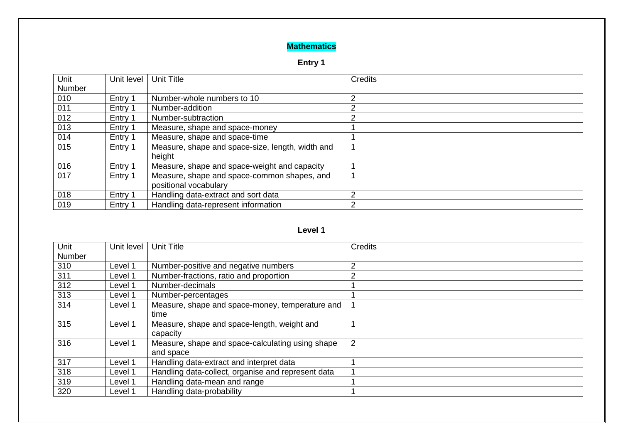## **Mathematics**

### **Entry 1**

| Unit<br>Number | Unit level | <b>Unit Title</b>                                                    | <b>Credits</b> |
|----------------|------------|----------------------------------------------------------------------|----------------|
| 010            | Entry 1    | Number-whole numbers to 10                                           | 2              |
| 011            | Entry 1    | Number-addition                                                      | 2              |
| 012            | Entry 1    | Number-subtraction                                                   | 2              |
| 013            | Entry 1    | Measure, shape and space-money                                       |                |
| 014            | Entry 1    | Measure, shape and space-time                                        |                |
| 015            | Entry 1    | Measure, shape and space-size, length, width and<br>height           |                |
| 016            | Entry 1    | Measure, shape and space-weight and capacity                         |                |
| 017            | Entry 1    | Measure, shape and space-common shapes, and<br>positional vocabulary |                |
| 018            | Entry 1    | Handling data-extract and sort data                                  | 2              |
| 019            | Entry 1    | Handling data-represent information                                  | 2              |

#### **Level 1**

| Unit   | Unit level | Unit Title                                         | Credits        |
|--------|------------|----------------------------------------------------|----------------|
| Number |            |                                                    |                |
| 310    | Level 1    | Number-positive and negative numbers               | $\overline{2}$ |
| 311    | Level 1    | Number-fractions, ratio and proportion             | $\overline{2}$ |
| 312    | Level 1    | Number-decimals                                    |                |
| 313    | Level 1    | Number-percentages                                 |                |
| 314    | Level 1    | Measure, shape and space-money, temperature and    |                |
|        |            | time                                               |                |
| 315    | Level 1    | Measure, shape and space-length, weight and        |                |
|        |            | capacity                                           |                |
| 316    | Level 1    | Measure, shape and space-calculating using shape   | $\overline{2}$ |
|        |            | and space                                          |                |
| 317    | Level 1    | Handling data-extract and interpret data           |                |
| 318    | Level 1    | Handling data-collect, organise and represent data |                |
| 319    | Level 1    | Handling data-mean and range                       |                |
| 320    | Level 1    | Handling data-probability                          |                |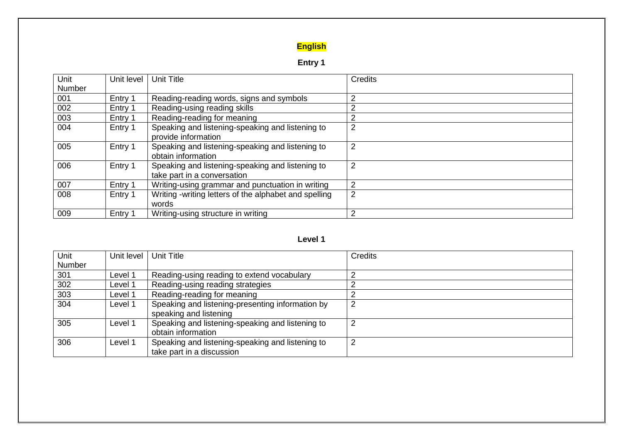## **English**

# **Entry 1**

| Unit<br><b>Number</b> | Unit level | <b>Unit Title</b>                                                               | Credits |
|-----------------------|------------|---------------------------------------------------------------------------------|---------|
|                       |            |                                                                                 | ⌒       |
| 001                   | Entry 1    | Reading-reading words, signs and symbols                                        |         |
| 002                   | Entry 1    | Reading-using reading skills                                                    |         |
| 003                   | Entry 1    | Reading-reading for meaning                                                     |         |
| 004                   | Entry 1    | Speaking and listening-speaking and listening to<br>provide information         |         |
| 005                   | Entry 1    | Speaking and listening-speaking and listening to<br>obtain information          | 2       |
| 006                   | Entry 1    | Speaking and listening-speaking and listening to<br>take part in a conversation | 2       |
| 007                   | Entry 1    | Writing-using grammar and punctuation in writing                                | 2       |
| 008                   | Entry 1    | Writing -writing letters of the alphabet and spelling<br>words                  | 2       |
| 009                   | Entry 1    | Writing-using structure in writing                                              | ◠       |

#### **Level 1**

| Unit   | Unit level | <b>Unit Title</b>                                | <b>Credits</b> |
|--------|------------|--------------------------------------------------|----------------|
| Number |            |                                                  |                |
| 301    | Level 1    | Reading-using reading to extend vocabulary       |                |
| 302    | Level 1    | Reading-using reading strategies                 |                |
| 303    | Level 1    | Reading-reading for meaning                      |                |
| 304    | Level 1    | Speaking and listening-presenting information by | ⌒              |
|        |            | speaking and listening                           |                |
| 305    | Level 1    | Speaking and listening-speaking and listening to | ◠              |
|        |            | obtain information                               |                |
| 306    | Level 1    | Speaking and listening-speaking and listening to | ົ              |
|        |            | take part in a discussion                        |                |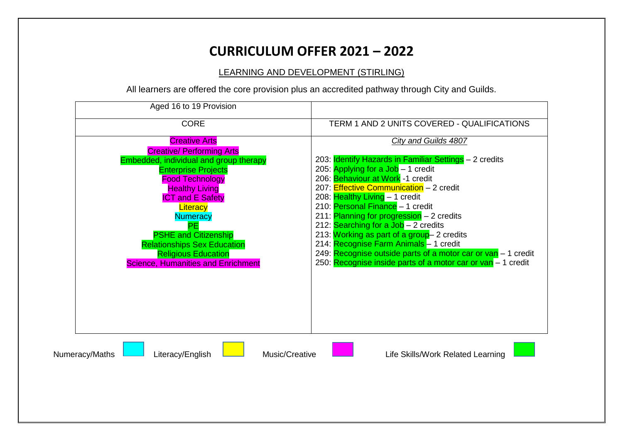LEARNING AND DEVELOPMENT (STIRLING)

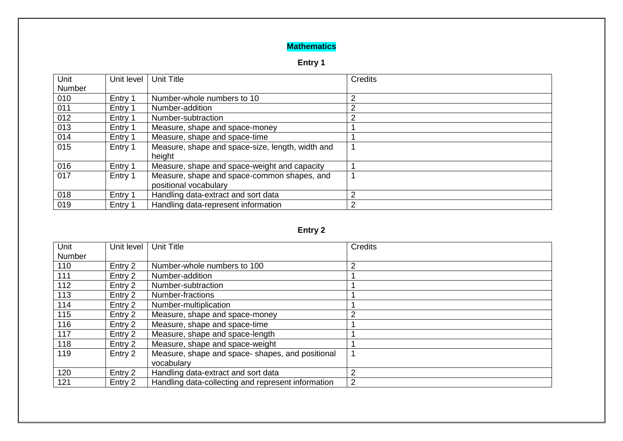## **Mathematics**

### **Entry 1**

| Unit   | Unit level | <b>Unit Title</b>                                | <b>Credits</b> |
|--------|------------|--------------------------------------------------|----------------|
| Number |            |                                                  |                |
| 010    | Entry 1    | Number-whole numbers to 10                       | 2              |
| 011    | Entry 1    | Number-addition                                  | າ              |
| 012    | Entry 1    | Number-subtraction                               |                |
| 013    | Entry 1    | Measure, shape and space-money                   |                |
| 014    | Entry 1    | Measure, shape and space-time                    |                |
| 015    | Entry 1    | Measure, shape and space-size, length, width and |                |
|        |            | height                                           |                |
| 016    | Entry 1    | Measure, shape and space-weight and capacity     |                |
| 017    | Entry 1    | Measure, shape and space-common shapes, and      |                |
|        |            | positional vocabulary                            |                |
| 018    | Entry 1    | Handling data-extract and sort data              | 2              |
| 019    | Entry 1    | Handling data-represent information              | 2              |

## **Entry 2**

| Unit   | Unit level | <b>Unit Title</b>                                  | Credits |
|--------|------------|----------------------------------------------------|---------|
| Number |            |                                                    |         |
| 110    | Entry 2    | Number-whole numbers to 100                        | 2       |
| 111    | Entry 2    | Number-addition                                    |         |
| 112    | Entry 2    | Number-subtraction                                 |         |
| 113    | Entry 2    | Number-fractions                                   |         |
| 114    | Entry 2    | Number-multiplication                              |         |
| 115    | Entry 2    | Measure, shape and space-money                     | 2       |
| 116    | Entry 2    | Measure, shape and space-time                      |         |
| 117    | Entry 2    | Measure, shape and space-length                    |         |
| 118    | Entry 2    | Measure, shape and space-weight                    |         |
| 119    | Entry 2    | Measure, shape and space-shapes, and positional    |         |
|        |            | vocabulary                                         |         |
| 120    | Entry 2    | Handling data-extract and sort data                | 2       |
| 121    | Entry 2    | Handling data-collecting and represent information | 2       |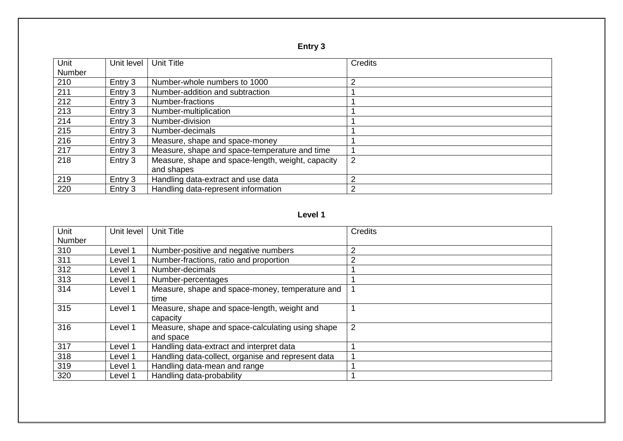| ı |  |
|---|--|
|---|--|

| Unit   | Unit level | Unit Title                                        | Credits        |
|--------|------------|---------------------------------------------------|----------------|
| Number |            |                                                   |                |
| 210    | Entry 3    | Number-whole numbers to 1000                      | っ              |
| 211    | Entry 3    | Number-addition and subtraction                   |                |
| 212    | Entry 3    | Number-fractions                                  |                |
| 213    | Entry 3    | Number-multiplication                             |                |
| 214    | Entry 3    | Number-division                                   |                |
| 215    | Entry 3    | Number-decimals                                   |                |
| 216    | Entry 3    | Measure, shape and space-money                    |                |
| 217    | Entry 3    | Measure, shape and space-temperature and time     |                |
| 218    | Entry 3    | Measure, shape and space-length, weight, capacity | $\overline{2}$ |
|        |            | and shapes                                        |                |
| 219    | Entry 3    | Handling data-extract and use data                | $\overline{2}$ |
| 220    | Entry 3    | Handling data-represent information               | 2              |

#### **Level 1**

| Unit   | Unit level | <b>Unit Title</b>                                  | <b>Credits</b> |
|--------|------------|----------------------------------------------------|----------------|
| Number |            |                                                    |                |
| 310    | Level 1    | Number-positive and negative numbers               | 2              |
| 311    | Level 1    | Number-fractions, ratio and proportion             | $\overline{2}$ |
| 312    | Level 1    | Number-decimals                                    |                |
| 313    | Level 1    | Number-percentages                                 |                |
| 314    | Level 1    | Measure, shape and space-money, temperature and    |                |
|        |            | time                                               |                |
| 315    | Level 1    | Measure, shape and space-length, weight and        |                |
|        |            | capacity                                           |                |
| 316    | Level 1    | Measure, shape and space-calculating using shape   | $\overline{2}$ |
|        |            | and space                                          |                |
| 317    | Level 1    | Handling data-extract and interpret data           |                |
| 318    | Level 1    | Handling data-collect, organise and represent data |                |
| 319    | Level 1    | Handling data-mean and range                       |                |
| 320    | Level 1    | Handling data-probability                          |                |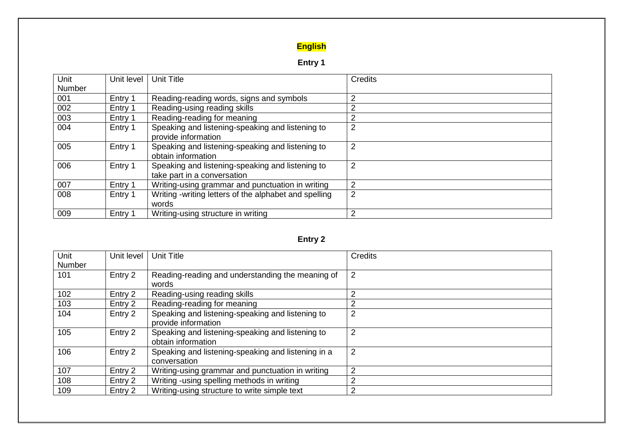## **English**

# **Entry 1**

| Unit   | Unit level | <b>Unit Title</b>                                     | Credits        |
|--------|------------|-------------------------------------------------------|----------------|
| Number |            |                                                       |                |
| 001    | Entry 1    | Reading-reading words, signs and symbols              | 2              |
| 002    | Entry 1    | Reading-using reading skills                          | っ              |
| 003    | Entry 1    | Reading-reading for meaning                           | っ              |
| 004    | Entry 1    | Speaking and listening-speaking and listening to      | $\overline{2}$ |
|        |            | provide information                                   |                |
| 005    | Entry 1    | Speaking and listening-speaking and listening to      | 2              |
|        |            | obtain information                                    |                |
| 006    | Entry 1    | Speaking and listening-speaking and listening to      | $\overline{2}$ |
|        |            | take part in a conversation                           |                |
| 007    | Entry 1    | Writing-using grammar and punctuation in writing      | 2              |
| 008    | Entry 1    | Writing -writing letters of the alphabet and spelling | $\overline{2}$ |
|        |            | words                                                 |                |
| 009    | Entry 1    | Writing-using structure in writing                    | 2              |

## **Entry 2**

| Unit   | Unit level | <b>Unit Title</b>                                  | <b>Credits</b> |
|--------|------------|----------------------------------------------------|----------------|
| Number |            |                                                    |                |
| 101    | Entry 2    | Reading-reading and understanding the meaning of   | 2              |
|        |            | words                                              |                |
| 102    | Entry 2    | Reading-using reading skills                       | $\overline{2}$ |
| 103    | Entry 2    | Reading-reading for meaning                        | 2              |
| 104    | Entry 2    | Speaking and listening-speaking and listening to   | $\overline{2}$ |
|        |            | provide information                                |                |
| 105    | Entry 2    | Speaking and listening-speaking and listening to   | $\overline{2}$ |
|        |            | obtain information                                 |                |
| 106    | Entry 2    | Speaking and listening-speaking and listening in a | $\overline{2}$ |
|        |            | conversation                                       |                |
| 107    | Entry 2    | Writing-using grammar and punctuation in writing   | $\overline{2}$ |
| 108    | Entry 2    | Writing - using spelling methods in writing        | $\overline{2}$ |
| 109    | Entry 2    | Writing-using structure to write simple text       | 2              |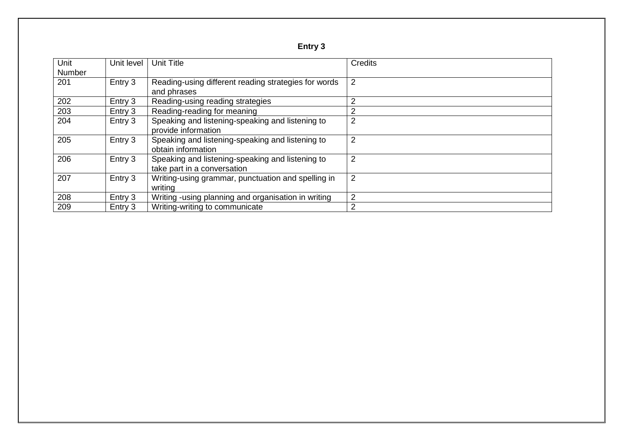| ı |  |
|---|--|
|---|--|

| Unit<br>Number | Unit level | <b>Unit Title</b>                                                               | Credits        |
|----------------|------------|---------------------------------------------------------------------------------|----------------|
| 201            | Entry 3    | Reading-using different reading strategies for words<br>and phrases             | 2              |
| 202            | Entry 3    | Reading-using reading strategies                                                | $\overline{2}$ |
| 203            | Entry 3    | Reading-reading for meaning                                                     | 2              |
| 204            | Entry 3    | Speaking and listening-speaking and listening to<br>provide information         | 2              |
| 205            | Entry 3    | Speaking and listening-speaking and listening to<br>obtain information          | $\overline{2}$ |
| 206            | Entry 3    | Speaking and listening-speaking and listening to<br>take part in a conversation | 2              |
| 207            | Entry 3    | Writing-using grammar, punctuation and spelling in<br>writing                   | 2              |
| 208            | Entry 3    | Writing - using planning and organisation in writing                            | $\overline{2}$ |
| 209            | Entry 3    | Writing-writing to communicate                                                  | 2              |